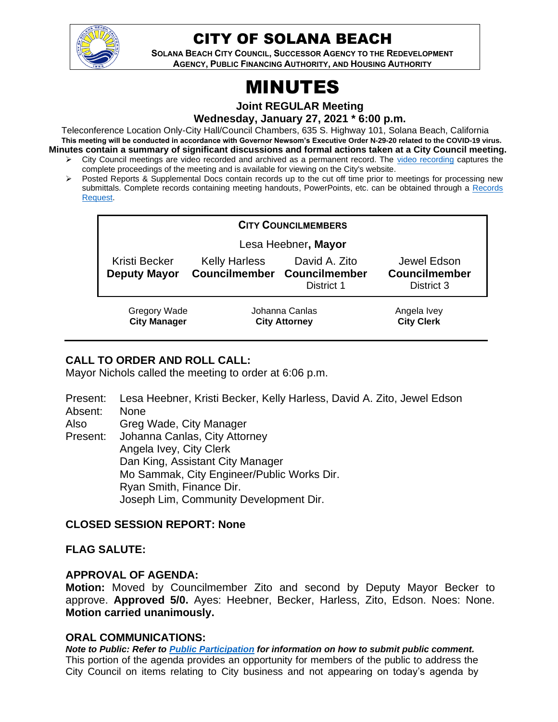

# CITY OF SOLANA BEACH

**SOLANA BEACH CITY COUNCIL, SUCCESSOR AGENCY TO THE REDEVELOPMENT AGENCY, PUBLIC FINANCING AUTHORITY, AND HOUSING AUTHORITY** 

# MINUTES

**Joint REGULAR Meeting**

**Wednesday, January 27, 2021 \* 6:00 p.m.** 

Teleconference Location Only-City Hall/Council Chambers, 635 S. Highway 101, Solana Beach, California **This meeting will be conducted in accordance with Governor Newsom's Executive Order N-29-20 related to the COVID-19 virus. Minutes contain a summary of significant discussions and formal actions taken at a City Council meeting.**

- ➢ City Council meetings are video recorded and archived as a permanent record. The [video recording](https://www.ci.solana-beach.ca.us/index.asp?SEC=F0F1200D-21C6-4A88-8AE1-0BC07C1A81A7&Type=B_BASIC) captures the complete proceedings of the meeting and is available for viewing on the City's website.
- ➢ Posted Reports & Supplemental Docs contain records up to the cut off time prior to meetings for processing new submittals. Complete records containing meeting handouts, PowerPoints, etc. can be obtained through a Records [Request.](http://www.ci.solana-beach.ca.us/index.asp?SEC=F5D45D10-70CE-4291-A27C-7BD633FC6742&Type=B_BASIC)

|                                            |                                        | <b>CITY COUNCILMEMBERS</b>                                 |                                                   |
|--------------------------------------------|----------------------------------------|------------------------------------------------------------|---------------------------------------------------|
| Lesa Heebner, Mayor                        |                                        |                                                            |                                                   |
| Kristi Becker<br><b>Deputy Mayor</b>       | <b>Kelly Harless</b>                   | David A. Zito<br>Councilmember Councilmember<br>District 1 | Jewel Edson<br><b>Councilmember</b><br>District 3 |
| <b>Gregory Wade</b><br><b>City Manager</b> | Johanna Canlas<br><b>City Attorney</b> |                                                            | Angela Ivey<br><b>City Clerk</b>                  |

# **CALL TO ORDER AND ROLL CALL:**

Mayor Nichols called the meeting to order at 6:06 p.m.

- Present: Lesa Heebner, Kristi Becker, Kelly Harless, David A. Zito, Jewel Edson
- Absent: None
- Also Greg Wade, City Manager

Present: Johanna Canlas, City Attorney Angela Ivey, City Clerk Dan King, Assistant City Manager Mo Sammak, City Engineer/Public Works Dir. Ryan Smith, Finance Dir. Joseph Lim, Community Development Dir.

# **CLOSED SESSION REPORT: None**

# **FLAG SALUTE:**

#### **APPROVAL OF AGENDA:**

**Motion:** Moved by Councilmember Zito and second by Deputy Mayor Becker to approve. **Approved 5/0.** Ayes: Heebner, Becker, Harless, Zito, Edson. Noes: None. **Motion carried unanimously.**

# **ORAL COMMUNICATIONS:**

*Note to Public: Refer to Public Participation for information on how to submit public comment.*  This portion of the agenda provides an opportunity for members of the public to address the City Council on items relating to City business and not appearing on today's agenda by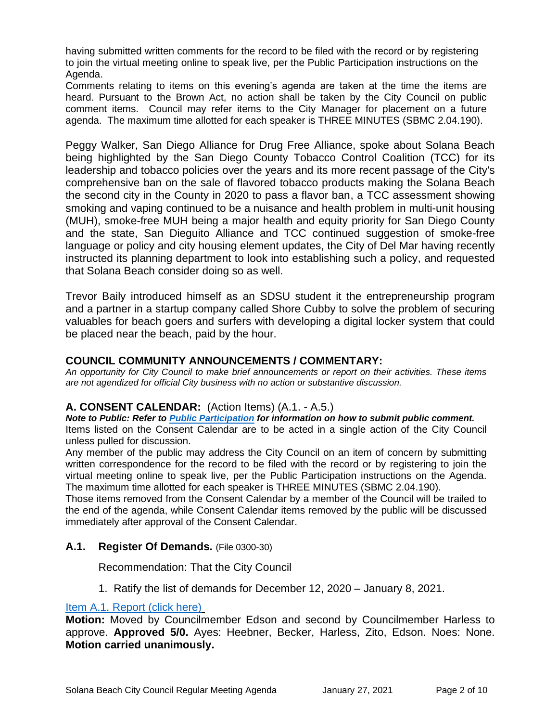having submitted written comments for the record to be filed with the record or by registering to join the virtual meeting online to speak live, per the Public Participation instructions on the Agenda.

Comments relating to items on this evening's agenda are taken at the time the items are heard. Pursuant to the Brown Act, no action shall be taken by the City Council on public comment items. Council may refer items to the City Manager for placement on a future agenda. The maximum time allotted for each speaker is THREE MINUTES (SBMC 2.04.190).

Peggy Walker, San Diego Alliance for Drug Free Alliance, spoke about Solana Beach being highlighted by the San Diego County Tobacco Control Coalition (TCC) for its leadership and tobacco policies over the years and its more recent passage of the City's comprehensive ban on the sale of flavored tobacco products making the Solana Beach the second city in the County in 2020 to pass a flavor ban, a TCC assessment showing smoking and vaping continued to be a nuisance and health problem in multi-unit housing (MUH), smoke-free MUH being a major health and equity priority for San Diego County and the state, San Dieguito Alliance and TCC continued suggestion of smoke-free language or policy and city housing element updates, the City of Del Mar having recently instructed its planning department to look into establishing such a policy, and requested that Solana Beach consider doing so as well.

Trevor Baily introduced himself as an SDSU student it the entrepreneurship program and a partner in a startup company called Shore Cubby to solve the problem of securing valuables for beach goers and surfers with developing a digital locker system that could be placed near the beach, paid by the hour.

#### **COUNCIL COMMUNITY ANNOUNCEMENTS / COMMENTARY:**

*An opportunity for City Council to make brief announcements or report on their activities. These items are not agendized for official City business with no action or substantive discussion.* 

#### **A. CONSENT CALENDAR:** (Action Items) (A.1. - A.5.)

*Note to Public: Refer to Public Participation for information on how to submit public comment.*  Items listed on the Consent Calendar are to be acted in a single action of the City Council unless pulled for discussion.

Any member of the public may address the City Council on an item of concern by submitting written correspondence for the record to be filed with the record or by registering to join the virtual meeting online to speak live, per the Public Participation instructions on the Agenda. The maximum time allotted for each speaker is THREE MINUTES (SBMC 2.04.190).

Those items removed from the Consent Calendar by a member of the Council will be trailed to the end of the agenda, while Consent Calendar items removed by the public will be discussed immediately after approval of the Consent Calendar.

#### **A.1. Register Of Demands.** (File 0300-30)

Recommendation: That the City Council

1. Ratify the list of demands for December 12, 2020 – January 8, 2021.

#### [Item A.1. Report \(click here\)](https://solanabeach.govoffice3.com/vertical/Sites/%7B840804C2-F869-4904-9AE3-720581350CE7%7D/uploads/Item_A.1._Report_(click_here)_1-27-21_O.pdf)

**Motion:** Moved by Councilmember Edson and second by Councilmember Harless to approve. **Approved 5/0.** Ayes: Heebner, Becker, Harless, Zito, Edson. Noes: None. **Motion carried unanimously.**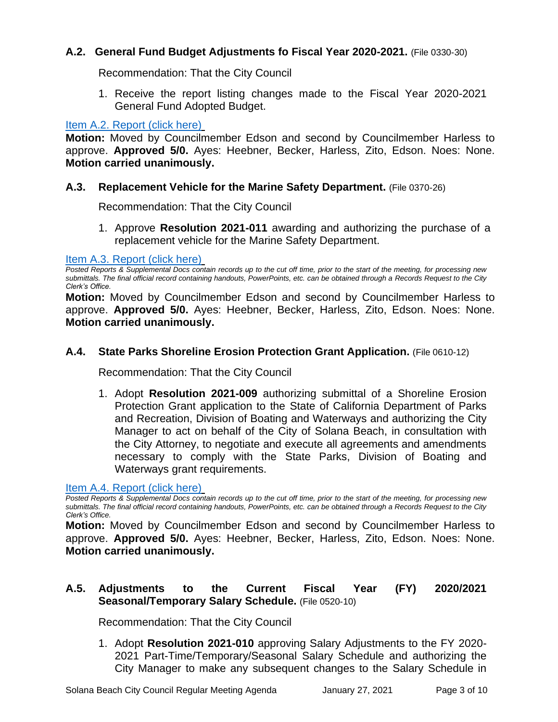# **A.2. General Fund Budget Adjustments fo Fiscal Year 2020-2021.** (File 0330-30)

Recommendation: That the City Council

1. Receive the report listing changes made to the Fiscal Year 2020-2021 General Fund Adopted Budget.

#### [Item A.2. Report \(click here\)](https://solanabeach.govoffice3.com/vertical/Sites/%7B840804C2-F869-4904-9AE3-720581350CE7%7D/uploads/Item_A.2._Report_(click_here)_1-27-21_O.pdf)

**Motion:** Moved by Councilmember Edson and second by Councilmember Harless to approve. **Approved 5/0.** Ayes: Heebner, Becker, Harless, Zito, Edson. Noes: None. **Motion carried unanimously.**

#### **A.3. Replacement Vehicle for the Marine Safety Department.** (File 0370-26)

Recommendation: That the City Council

1. Approve **Resolution 2021-011** awarding and authorizing the purchase of a replacement vehicle for the Marine Safety Department.

#### [Item A.3. Report \(click here\)](https://solanabeach.govoffice3.com/vertical/Sites/%7B840804C2-F869-4904-9AE3-720581350CE7%7D/uploads/Item_A.3._Report_(click_here)_1-27-21_O.pdf)

*Posted Reports & Supplemental Docs contain records up to the cut off time, prior to the start of the meeting, for processing new submittals. The final official record containing handouts, PowerPoints, etc. can be obtained through a Records Request to the City Clerk's Office.*

**Motion:** Moved by Councilmember Edson and second by Councilmember Harless to approve. **Approved 5/0.** Ayes: Heebner, Becker, Harless, Zito, Edson. Noes: None. **Motion carried unanimously.**

#### **A.4. State Parks Shoreline Erosion Protection Grant Application.** (File 0610-12)

Recommendation: That the City Council

1. Adopt **Resolution 2021-009** authorizing submittal of a Shoreline Erosion Protection Grant application to the State of California Department of Parks and Recreation, Division of Boating and Waterways and authorizing the City Manager to act on behalf of the City of Solana Beach, in consultation with the City Attorney, to negotiate and execute all agreements and amendments necessary to comply with the State Parks, Division of Boating and Waterways grant requirements.

#### [Item A.4. Report \(click here\)](https://solanabeach.govoffice3.com/vertical/Sites/%7B840804C2-F869-4904-9AE3-720581350CE7%7D/uploads/Item_A.4._Report_(click_here)_1-27-21_O.pdf)

*Posted Reports & Supplemental Docs contain records up to the cut off time, prior to the start of the meeting, for processing new submittals. The final official record containing handouts, PowerPoints, etc. can be obtained through a Records Request to the City Clerk's Office.*

**Motion:** Moved by Councilmember Edson and second by Councilmember Harless to approve. **Approved 5/0.** Ayes: Heebner, Becker, Harless, Zito, Edson. Noes: None. **Motion carried unanimously.**

# **A.5. Adjustments to the Current Fiscal Year (FY) 2020/2021 Seasonal/Temporary Salary Schedule.** (File 0520-10)

Recommendation: That the City Council

1. Adopt **Resolution 2021-010** approving Salary Adjustments to the FY 2020- 2021 Part-Time/Temporary/Seasonal Salary Schedule and authorizing the City Manager to make any subsequent changes to the Salary Schedule in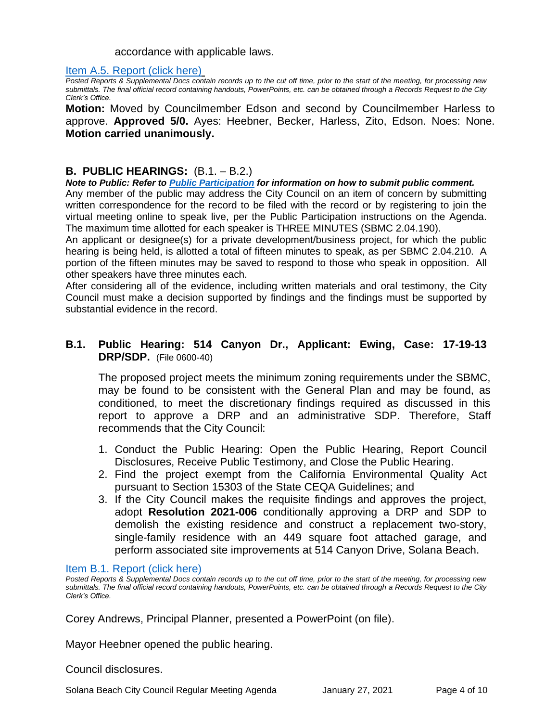#### accordance with applicable laws.

#### [Item A.5. Report \(click here\)](https://solanabeach.govoffice3.com/vertical/Sites/%7B840804C2-F869-4904-9AE3-720581350CE7%7D/uploads/Item_A.5._Report_(click_here)_1-27-21_O.pdf)

*Posted Reports & Supplemental Docs contain records up to the cut off time, prior to the start of the meeting, for processing new submittals. The final official record containing handouts, PowerPoints, etc. can be obtained through a Records Request to the City Clerk's Office.*

**Motion:** Moved by Councilmember Edson and second by Councilmember Harless to approve. **Approved 5/0.** Ayes: Heebner, Becker, Harless, Zito, Edson. Noes: None. **Motion carried unanimously.**

#### **B. PUBLIC HEARINGS:** (B.1. – B.2.)

*Note to Public: Refer to Public Participation for information on how to submit public comment.* 

Any member of the public may address the City Council on an item of concern by submitting written correspondence for the record to be filed with the record or by registering to join the virtual meeting online to speak live, per the Public Participation instructions on the Agenda. The maximum time allotted for each speaker is THREE MINUTES (SBMC 2.04.190).

An applicant or designee(s) for a private development/business project, for which the public hearing is being held, is allotted a total of fifteen minutes to speak, as per SBMC 2.04.210. A portion of the fifteen minutes may be saved to respond to those who speak in opposition. All other speakers have three minutes each.

After considering all of the evidence, including written materials and oral testimony, the City Council must make a decision supported by findings and the findings must be supported by substantial evidence in the record.

### **B.1. Public Hearing: 514 Canyon Dr., Applicant: Ewing, Case: 17-19-13 DRP/SDP.** (File 0600-40)

The proposed project meets the minimum zoning requirements under the SBMC, may be found to be consistent with the General Plan and may be found, as conditioned, to meet the discretionary findings required as discussed in this report to approve a DRP and an administrative SDP. Therefore, Staff recommends that the City Council:

- 1. Conduct the Public Hearing: Open the Public Hearing, Report Council Disclosures, Receive Public Testimony, and Close the Public Hearing.
- 2. Find the project exempt from the California Environmental Quality Act pursuant to Section 15303 of the State CEQA Guidelines; and
- 3. If the City Council makes the requisite findings and approves the project, adopt **Resolution 2021-006** conditionally approving a DRP and SDP to demolish the existing residence and construct a replacement two-story, single-family residence with an 449 square foot attached garage, and perform associated site improvements at 514 Canyon Drive, Solana Beach.

#### [Item B.1. Report \(click here\)](https://solanabeach.govoffice3.com/vertical/Sites/%7B840804C2-F869-4904-9AE3-720581350CE7%7D/uploads/Item_B.1._Report_(click_here)_1-27-21_O.pdf)

*Posted Reports & Supplemental Docs contain records up to the cut off time, prior to the start of the meeting, for processing new submittals. The final official record containing handouts, PowerPoints, etc. can be obtained through a Records Request to the City Clerk's Office.*

Corey Andrews, Principal Planner, presented a PowerPoint (on file).

Mayor Heebner opened the public hearing.

Council disclosures.

Solana Beach City Council Regular Meeting Agenda January 27, 2021 Page 4 of 10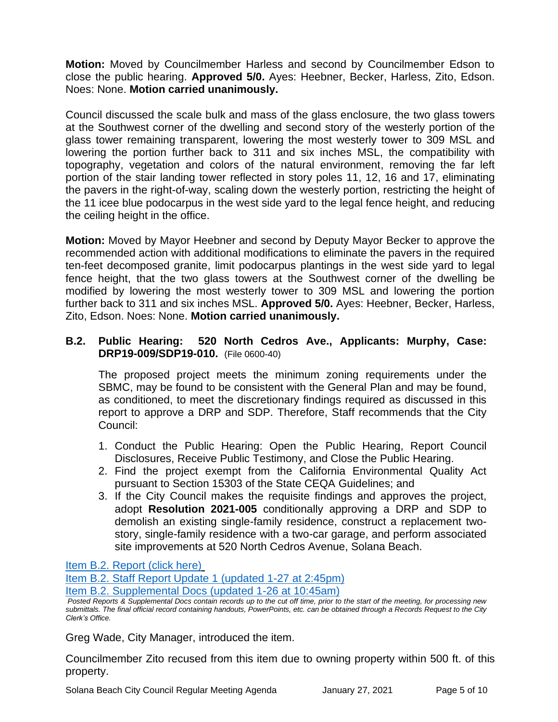**Motion:** Moved by Councilmember Harless and second by Councilmember Edson to close the public hearing. **Approved 5/0.** Ayes: Heebner, Becker, Harless, Zito, Edson. Noes: None. **Motion carried unanimously.**

Council discussed the scale bulk and mass of the glass enclosure, the two glass towers at the Southwest corner of the dwelling and second story of the westerly portion of the glass tower remaining transparent, lowering the most westerly tower to 309 MSL and lowering the portion further back to 311 and six inches MSL, the compatibility with topography, vegetation and colors of the natural environment, removing the far left portion of the stair landing tower reflected in story poles 11, 12, 16 and 17, eliminating the pavers in the right-of-way, scaling down the westerly portion, restricting the height of the 11 icee blue podocarpus in the west side yard to the legal fence height, and reducing the ceiling height in the office.

**Motion:** Moved by Mayor Heebner and second by Deputy Mayor Becker to approve the recommended action with additional modifications to eliminate the pavers in the required ten-feet decomposed granite, limit podocarpus plantings in the west side yard to legal fence height, that the two glass towers at the Southwest corner of the dwelling be modified by lowering the most westerly tower to 309 MSL and lowering the portion further back to 311 and six inches MSL. **Approved 5/0.** Ayes: Heebner, Becker, Harless, Zito, Edson. Noes: None. **Motion carried unanimously.**

### **B.2. Public Hearing: 520 North Cedros Ave., Applicants: Murphy, Case: DRP19-009/SDP19-010.** (File 0600-40)

The proposed project meets the minimum zoning requirements under the SBMC, may be found to be consistent with the General Plan and may be found, as conditioned, to meet the discretionary findings required as discussed in this report to approve a DRP and SDP. Therefore, Staff recommends that the City Council:

- 1. Conduct the Public Hearing: Open the Public Hearing, Report Council Disclosures, Receive Public Testimony, and Close the Public Hearing.
- 2. Find the project exempt from the California Environmental Quality Act pursuant to Section 15303 of the State CEQA Guidelines; and
- 3. If the City Council makes the requisite findings and approves the project, adopt **Resolution 2021-005** conditionally approving a DRP and SDP to demolish an existing single-family residence, construct a replacement twostory, single-family residence with a two-car garage, and perform associated site improvements at 520 North Cedros Avenue, Solana Beach.

[Item B.2. Report \(click here\)](https://solanabeach.govoffice3.com/vertical/Sites/%7B840804C2-F869-4904-9AE3-720581350CE7%7D/uploads/Item_B.2._Report_(click_here)_1-27-21_O.pdf)

[Item B.2. Staff Report Update 1 \(updated 1-27 at 2:45pm\)](https://solanabeach.govoffice3.com/vertical/Sites/%7B840804C2-F869-4904-9AE3-720581350CE7%7D/uploads/Item_B.2._Staff_Report_Update_1_-_O(1).pdf) [Item B.2. Supplemental Docs \(updated 1-26 at 10:45am\)](https://solanabeach.govoffice3.com/vertical/Sites/%7B840804C2-F869-4904-9AE3-720581350CE7%7D/uploads/Item_B.2._Supplemental_Docs_(upd._1-26_at_930am)_-_O.pdf)

Greg Wade, City Manager, introduced the item.

Councilmember Zito recused from this item due to owning property within 500 ft. of this property.

*Posted Reports & Supplemental Docs contain records up to the cut off time, prior to the start of the meeting, for processing new submittals. The final official record containing handouts, PowerPoints, etc. can be obtained through a Records Request to the City Clerk's Office.*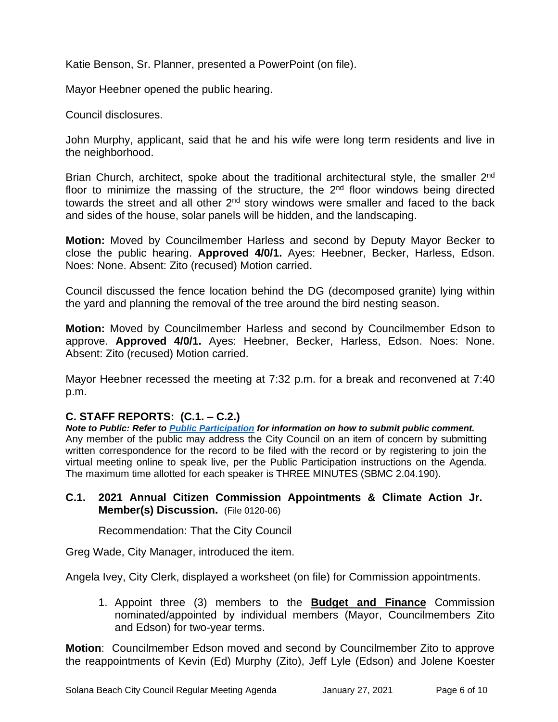Katie Benson, Sr. Planner, presented a PowerPoint (on file).

Mayor Heebner opened the public hearing.

Council disclosures.

John Murphy, applicant, said that he and his wife were long term residents and live in the neighborhood.

Brian Church, architect, spoke about the traditional architectural style, the smaller 2<sup>nd</sup> floor to minimize the massing of the structure, the 2<sup>nd</sup> floor windows being directed towards the street and all other  $2<sup>nd</sup>$  story windows were smaller and faced to the back and sides of the house, solar panels will be hidden, and the landscaping.

**Motion:** Moved by Councilmember Harless and second by Deputy Mayor Becker to close the public hearing. **Approved 4/0/1.** Ayes: Heebner, Becker, Harless, Edson. Noes: None. Absent: Zito (recused) Motion carried.

Council discussed the fence location behind the DG (decomposed granite) lying within the yard and planning the removal of the tree around the bird nesting season.

**Motion:** Moved by Councilmember Harless and second by Councilmember Edson to approve. **Approved 4/0/1.** Ayes: Heebner, Becker, Harless, Edson. Noes: None. Absent: Zito (recused) Motion carried.

Mayor Heebner recessed the meeting at 7:32 p.m. for a break and reconvened at 7:40 p.m.

# **C. STAFF REPORTS: (C.1. – C.2.)**

*Note to Public: Refer to Public Participation for information on how to submit public comment.*  Any member of the public may address the City Council on an item of concern by submitting written correspondence for the record to be filed with the record or by registering to join the virtual meeting online to speak live, per the Public Participation instructions on the Agenda. The maximum time allotted for each speaker is THREE MINUTES (SBMC 2.04.190).

**C.1. 2021 Annual Citizen Commission Appointments & Climate Action Jr. Member(s) Discussion.** (File 0120-06)

Recommendation: That the City Council

Greg Wade, City Manager, introduced the item.

Angela Ivey, City Clerk, displayed a worksheet (on file) for Commission appointments.

1. Appoint three (3) members to the **Budget and Finance** Commission nominated/appointed by individual members (Mayor, Councilmembers Zito and Edson) for two-year terms.

**Motion**: Councilmember Edson moved and second by Councilmember Zito to approve the reappointments of Kevin (Ed) Murphy (Zito), Jeff Lyle (Edson) and Jolene Koester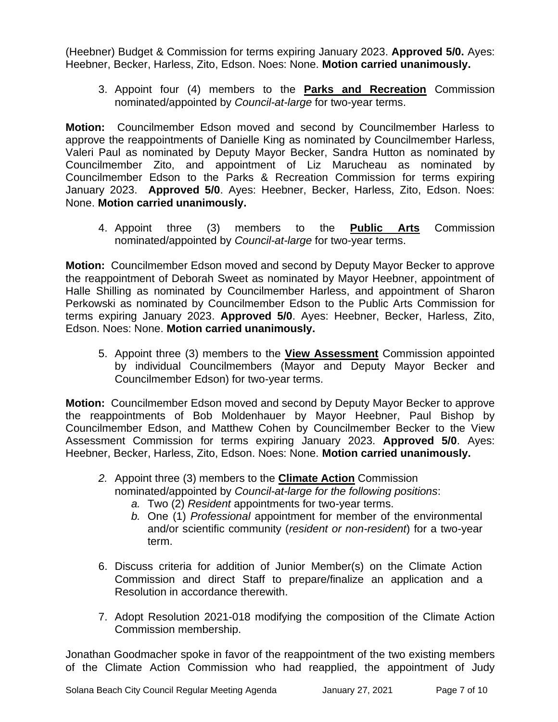(Heebner) Budget & Commission for terms expiring January 2023. **Approved 5/0.** Ayes: Heebner, Becker, Harless, Zito, Edson. Noes: None. **Motion carried unanimously.**

3. Appoint four (4) members to the **Parks and Recreation** Commission nominated/appointed by *Council-at-large* for two-year terms.

**Motion:** Councilmember Edson moved and second by Councilmember Harless to approve the reappointments of Danielle King as nominated by Councilmember Harless, Valeri Paul as nominated by Deputy Mayor Becker, Sandra Hutton as nominated by Councilmember Zito, and appointment of Liz Marucheau as nominated by Councilmember Edson to the Parks & Recreation Commission for terms expiring January 2023. **Approved 5/0**. Ayes: Heebner, Becker, Harless, Zito, Edson. Noes: None. **Motion carried unanimously.**

4. Appoint three (3) members to the **Public Arts** Commission nominated/appointed by *Council-at-large* for two-year terms.

**Motion:** Councilmember Edson moved and second by Deputy Mayor Becker to approve the reappointment of Deborah Sweet as nominated by Mayor Heebner, appointment of Halle Shilling as nominated by Councilmember Harless, and appointment of Sharon Perkowski as nominated by Councilmember Edson to the Public Arts Commission for terms expiring January 2023. **Approved 5/0**. Ayes: Heebner, Becker, Harless, Zito, Edson. Noes: None. **Motion carried unanimously.**

5. Appoint three (3) members to the **View Assessment** Commission appointed by individual Councilmembers (Mayor and Deputy Mayor Becker and Councilmember Edson) for two-year terms.

**Motion:** Councilmember Edson moved and second by Deputy Mayor Becker to approve the reappointments of Bob Moldenhauer by Mayor Heebner, Paul Bishop by Councilmember Edson, and Matthew Cohen by Councilmember Becker to the View Assessment Commission for terms expiring January 2023. **Approved 5/0**. Ayes: Heebner, Becker, Harless, Zito, Edson. Noes: None. **Motion carried unanimously.**

- *2.* Appoint three (3) members to the **Climate Action** Commission nominated/appointed by *Council-at-large for the following positions*:
	- *a.* Two (2) *Resident* appointments for two-year terms.
	- *b.* One (1) *Professional* appointment for member of the environmental and/or scientific community (*resident or non-resident*) for a two-year term.
- 6. Discuss criteria for addition of Junior Member(s) on the Climate Action Commission and direct Staff to prepare/finalize an application and a Resolution in accordance therewith.
- 7. Adopt Resolution 2021-018 modifying the composition of the Climate Action Commission membership.

Jonathan Goodmacher spoke in favor of the reappointment of the two existing members of the Climate Action Commission who had reapplied, the appointment of Judy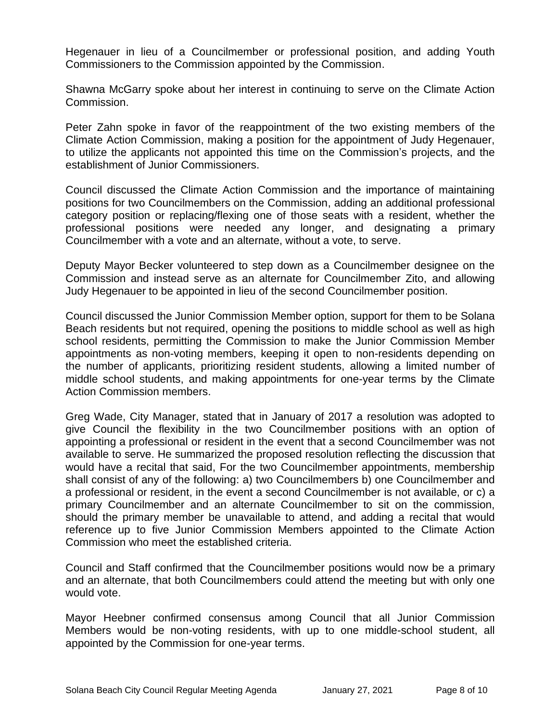Hegenauer in lieu of a Councilmember or professional position, and adding Youth Commissioners to the Commission appointed by the Commission.

Shawna McGarry spoke about her interest in continuing to serve on the Climate Action Commission.

Peter Zahn spoke in favor of the reappointment of the two existing members of the Climate Action Commission, making a position for the appointment of Judy Hegenauer, to utilize the applicants not appointed this time on the Commission's projects, and the establishment of Junior Commissioners.

Council discussed the Climate Action Commission and the importance of maintaining positions for two Councilmembers on the Commission, adding an additional professional category position or replacing/flexing one of those seats with a resident, whether the professional positions were needed any longer, and designating a primary Councilmember with a vote and an alternate, without a vote, to serve.

Deputy Mayor Becker volunteered to step down as a Councilmember designee on the Commission and instead serve as an alternate for Councilmember Zito, and allowing Judy Hegenauer to be appointed in lieu of the second Councilmember position.

Council discussed the Junior Commission Member option, support for them to be Solana Beach residents but not required, opening the positions to middle school as well as high school residents, permitting the Commission to make the Junior Commission Member appointments as non-voting members, keeping it open to non-residents depending on the number of applicants, prioritizing resident students, allowing a limited number of middle school students, and making appointments for one-year terms by the Climate Action Commission members.

Greg Wade, City Manager, stated that in January of 2017 a resolution was adopted to give Council the flexibility in the two Councilmember positions with an option of appointing a professional or resident in the event that a second Councilmember was not available to serve. He summarized the proposed resolution reflecting the discussion that would have a recital that said, For the two Councilmember appointments, membership shall consist of any of the following: a) two Councilmembers b) one Councilmember and a professional or resident, in the event a second Councilmember is not available, or c) a primary Councilmember and an alternate Councilmember to sit on the commission, should the primary member be unavailable to attend, and adding a recital that would reference up to five Junior Commission Members appointed to the Climate Action Commission who meet the established criteria.

Council and Staff confirmed that the Councilmember positions would now be a primary and an alternate, that both Councilmembers could attend the meeting but with only one would vote.

Mayor Heebner confirmed consensus among Council that all Junior Commission Members would be non-voting residents, with up to one middle-school student, all appointed by the Commission for one-year terms.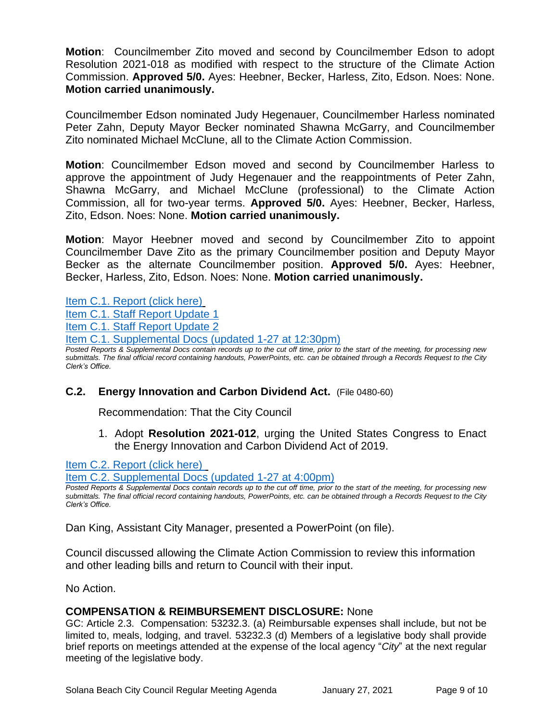**Motion**: Councilmember Zito moved and second by Councilmember Edson to adopt Resolution 2021-018 as modified with respect to the structure of the Climate Action Commission. **Approved 5/0.** Ayes: Heebner, Becker, Harless, Zito, Edson. Noes: None. **Motion carried unanimously.**

Councilmember Edson nominated Judy Hegenauer, Councilmember Harless nominated Peter Zahn, Deputy Mayor Becker nominated Shawna McGarry, and Councilmember Zito nominated Michael McClune, all to the Climate Action Commission.

**Motion**: Councilmember Edson moved and second by Councilmember Harless to approve the appointment of Judy Hegenauer and the reappointments of Peter Zahn, Shawna McGarry, and Michael McClune (professional) to the Climate Action Commission, all for two-year terms. **Approved 5/0.** Ayes: Heebner, Becker, Harless, Zito, Edson. Noes: None. **Motion carried unanimously.**

**Motion**: Mayor Heebner moved and second by Councilmember Zito to appoint Councilmember Dave Zito as the primary Councilmember position and Deputy Mayor Becker as the alternate Councilmember position. **Approved 5/0.** Ayes: Heebner, Becker, Harless, Zito, Edson. Noes: None. **Motion carried unanimously.**

[Item C.1. Report \(click here\)](https://solanabeach.govoffice3.com/vertical/Sites/%7B840804C2-F869-4904-9AE3-720581350CE7%7D/uploads/Item_C.1._Report_(click_here)_1-27-21_O.pdf)

[Item C.1. Staff Report Update](https://solanabeach.govoffice3.com/vertical/Sites/%7B840804C2-F869-4904-9AE3-720581350CE7%7D/uploads/Item_C.1._Staff_Report_Update_No._1.pdf) 1

[Item C.1. Staff Report Update 2](https://solanabeach.govoffice3.com/vertical/Sites/%7B840804C2-F869-4904-9AE3-720581350CE7%7D/uploads/Item_C.1._Staff_Report_Update_No._2.pdf)

[Item C.1. Supplemental Docs \(updated 1-27](https://solanabeach.govoffice3.com/vertical/Sites/%7B840804C2-F869-4904-9AE3-720581350CE7%7D/uploads/Item_C.1._Supplemental_Docs_(upd._1-27_at_1230pm)_-_O.pdf) at 12:30pm)

*Posted Reports & Supplemental Docs contain records up to the cut off time, prior to the start of the meeting, for processing new submittals. The final official record containing handouts, PowerPoints, etc. can be obtained through a Records Request to the City Clerk's Office.*

# **C.2. Energy Innovation and Carbon Dividend Act.** (File 0480-60)

Recommendation: That the City Council

1. Adopt **Resolution 2021-012**, urging the United States Congress to Enact the Energy Innovation and Carbon Dividend Act of 2019.

[Item C.2. Report](https://solanabeach.govoffice3.com/vertical/Sites/%7B840804C2-F869-4904-9AE3-720581350CE7%7D/uploads/Item_C.2._Report_(click_here)_1-27-21_O.pdf) (click here)

[Item C.2. Supplemental Docs \(updated 1-27](https://solanabeach.govoffice3.com/vertical/Sites/%7B840804C2-F869-4904-9AE3-720581350CE7%7D/uploads/Item_C.2._Supplemental_Docs_(upd._1-27_at_4pm)_-_O.pdf) at 4:00pm)

*Posted Reports & Supplemental Docs contain records up to the cut off time, prior to the start of the meeting, for processing new submittals. The final official record containing handouts, PowerPoints, etc. can be obtained through a Records Request to the City Clerk's Office.*

Dan King, Assistant City Manager, presented a PowerPoint (on file).

Council discussed allowing the Climate Action Commission to review this information and other leading bills and return to Council with their input.

No Action.

# **COMPENSATION & REIMBURSEMENT DISCLOSURE:** None

GC: Article 2.3. Compensation: 53232.3. (a) Reimbursable expenses shall include, but not be limited to, meals, lodging, and travel. 53232.3 (d) Members of a legislative body shall provide brief reports on meetings attended at the expense of the local agency "*City*" at the next regular meeting of the legislative body.